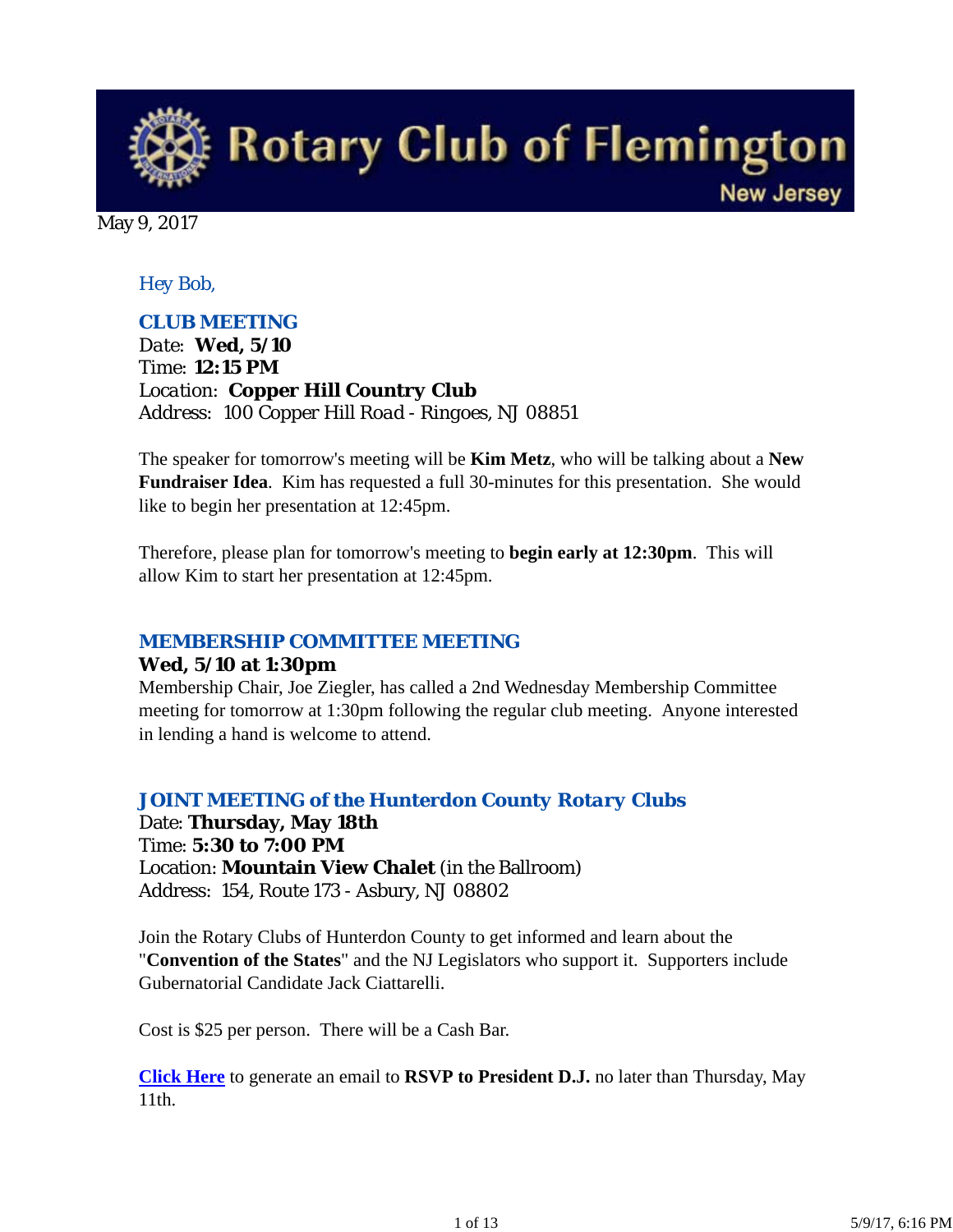**Rotary Club of Flemington New Jersey** 

May 9, 2017

### *Hey Bob,*

#### *CLUB MEETING*

*Date: Wed, 5/10 Time: 12:15 PM Location: Copper Hill Country Club Address: 100 Copper Hill Road - Ringoes, NJ 08851*

The speaker for tomorrow's meeting will be **Kim Metz**, who will be talking about a **New Fundraiser Idea**. Kim has requested a full 30-minutes for this presentation. She would like to begin her presentation at 12:45pm.

Therefore, please plan for tomorrow's meeting to **begin early at 12:30pm**. This will allow Kim to start her presentation at 12:45pm.

#### *MEMBERSHIP COMMITTEE MEETING*

#### **Wed, 5/10 at 1:30pm**

Membership Chair, Joe Ziegler, has called a 2nd Wednesday Membership Committee meeting for tomorrow at 1:30pm following the regular club meeting. Anyone interested in lending a hand is welcome to attend.

#### *JOINT MEETING of the Hunterdon County Rotary Clubs*

Date: **Thursday, May 18th** Time: **5:30 to 7:00 PM** Location: **Mountain View Chalet** (in the Ballroom) Address: 154, Route 173 - Asbury, NJ 08802

Join the Rotary Clubs of Hunterdon County to get informed and learn about the "**Convention of the States**" and the NJ Legislators who support it. Supporters include Gubernatorial Candidate Jack Ciattarelli.

Cost is \$25 per person. There will be a Cash Bar.

**Click Here** to generate an email to **RSVP to President D.J.** no later than Thursday, May 11th.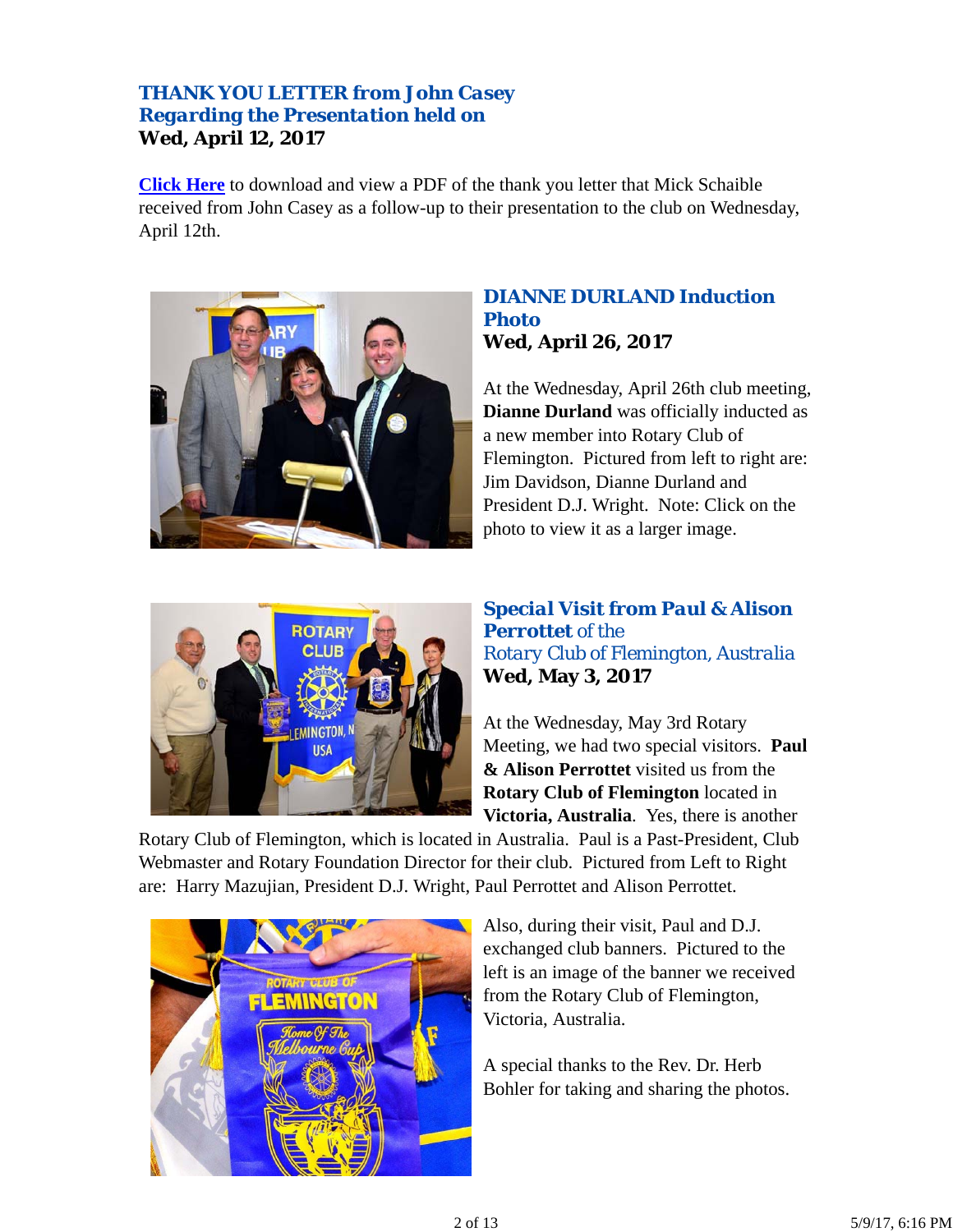## *THANK YOU LETTER from John Casey Regarding the Presentation held on* **Wed, April 12, 2017**

**Click Here** to download and view a PDF of the thank you letter that Mick Schaible received from John Casey as a follow-up to their presentation to the club on Wednesday, April 12th.



### *DIANNE DURLAND Induction Photo* **Wed, April 26, 2017**

At the Wednesday, April 26th club meeting, **Dianne Durland** was officially inducted as a new member into Rotary Club of Flemington. Pictured from left to right are: Jim Davidson, Dianne Durland and President D.J. Wright. Note: Click on the photo to view it as a larger image.



## *Special Visit from Paul & Alison Perrottet of the Rotary Club of Flemington, Australia* **Wed, May 3, 2017**

At the Wednesday, May 3rd Rotary Meeting, we had two special visitors. **Paul & Alison Perrottet** visited us from the **Rotary Club of Flemington** located in **Victoria, Australia**. Yes, there is another

Rotary Club of Flemington, which is located in Australia. Paul is a Past-President, Club Webmaster and Rotary Foundation Director for their club. Pictured from Left to Right are: Harry Mazujian, President D.J. Wright, Paul Perrottet and Alison Perrottet.



Also, during their visit, Paul and D.J. exchanged club banners. Pictured to the left is an image of the banner we received from the Rotary Club of Flemington, Victoria, Australia.

A special thanks to the Rev. Dr. Herb Bohler for taking and sharing the photos.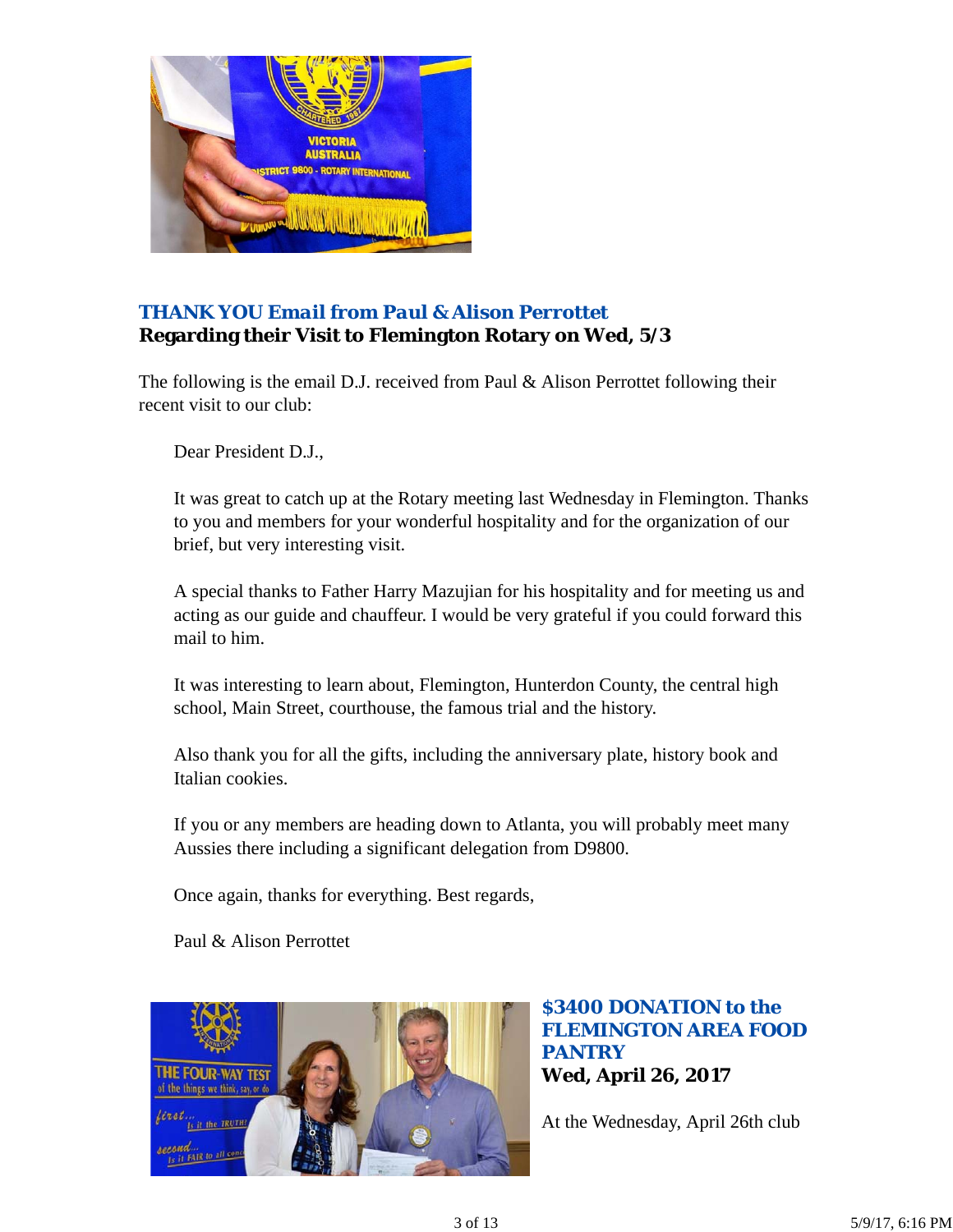

## *THANK YOU Email from Paul & Alison Perrottet* **Regarding their Visit to Flemington Rotary on Wed, 5/3**

The following is the email D.J. received from Paul & Alison Perrottet following their recent visit to our club:

Dear President D.J.,

It was great to catch up at the Rotary meeting last Wednesday in Flemington. Thanks to you and members for your wonderful hospitality and for the organization of our brief, but very interesting visit.

A special thanks to Father Harry Mazujian for his hospitality and for meeting us and acting as our guide and chauffeur. I would be very grateful if you could forward this mail to him.

It was interesting to learn about, Flemington, Hunterdon County, the central high school, Main Street, courthouse, the famous trial and the history.

Also thank you for all the gifts, including the anniversary plate, history book and Italian cookies.

If you or any members are heading down to Atlanta, you will probably meet many Aussies there including a significant delegation from D9800.

Once again, thanks for everything. Best regards,

Paul & Alison Perrottet



*\$3400 DONATION to the FLEMINGTON AREA FOOD PANTRY* **Wed, April 26, 2017**

At the Wednesday, April 26th club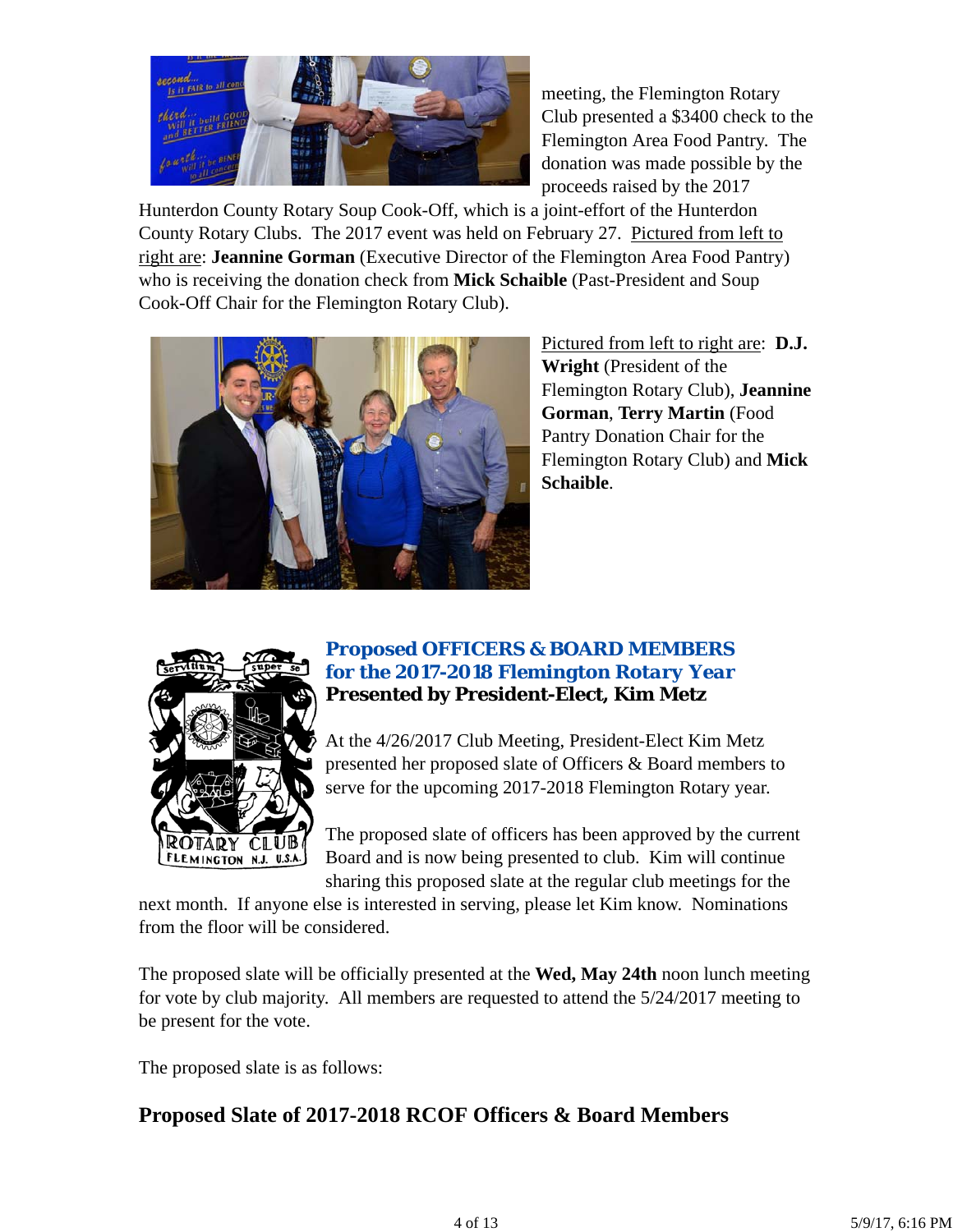

meeting, the Flemington Rotary Club presented a \$3400 check to the Flemington Area Food Pantry. The donation was made possible by the proceeds raised by the 2017

Hunterdon County Rotary Soup Cook-Off, which is a joint-effort of the Hunterdon County Rotary Clubs. The 2017 event was held on February 27. Pictured from left to right are: **Jeannine Gorman** (Executive Director of the Flemington Area Food Pantry) who is receiving the donation check from **Mick Schaible** (Past-President and Soup Cook-Off Chair for the Flemington Rotary Club).



Pictured from left to right are: **D.J. Wright** (President of the Flemington Rotary Club), **Jeannine Gorman**, **Terry Martin** (Food Pantry Donation Chair for the Flemington Rotary Club) and **Mick Schaible**.



## *Proposed OFFICERS & BOARD MEMBERS for the 2017-2018 Flemington Rotary Year* **Presented by President-Elect, Kim Metz**

At the 4/26/2017 Club Meeting, President-Elect Kim Metz presented her proposed slate of Officers & Board members to serve for the upcoming 2017-2018 Flemington Rotary year.

The proposed slate of officers has been approved by the current Board and is now being presented to club. Kim will continue sharing this proposed slate at the regular club meetings for the

next month. If anyone else is interested in serving, please let Kim know. Nominations from the floor will be considered.

The proposed slate will be officially presented at the **Wed, May 24th** noon lunch meeting for vote by club majority. All members are requested to attend the 5/24/2017 meeting to be present for the vote.

The proposed slate is as follows:

# **Proposed Slate of 2017-2018 RCOF Officers & Board Members**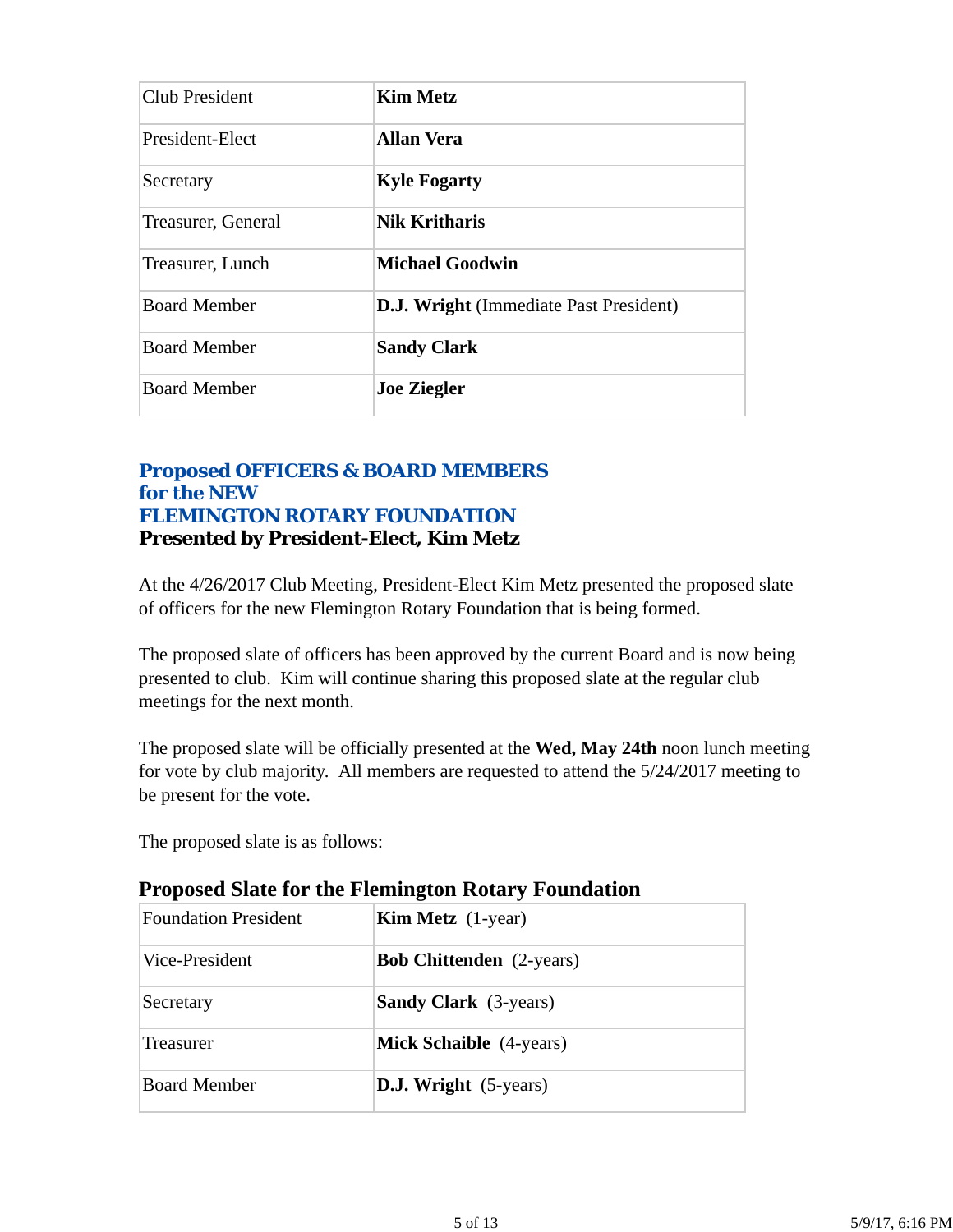| Club President      | <b>Kim Metz</b>                               |
|---------------------|-----------------------------------------------|
| President-Elect     | <b>Allan Vera</b>                             |
| Secretary           | <b>Kyle Fogarty</b>                           |
| Treasurer, General  | <b>Nik Kritharis</b>                          |
| Treasurer, Lunch    | <b>Michael Goodwin</b>                        |
| <b>Board Member</b> | <b>D.J. Wright</b> (Immediate Past President) |
| <b>Board Member</b> | <b>Sandy Clark</b>                            |
| <b>Board Member</b> | <b>Joe Ziegler</b>                            |

## *Proposed OFFICERS & BOARD MEMBERS for the NEW FLEMINGTON ROTARY FOUNDATION* **Presented by President-Elect, Kim Metz**

At the 4/26/2017 Club Meeting, President-Elect Kim Metz presented the proposed slate of officers for the new Flemington Rotary Foundation that is being formed.

The proposed slate of officers has been approved by the current Board and is now being presented to club. Kim will continue sharing this proposed slate at the regular club meetings for the next month.

The proposed slate will be officially presented at the **Wed, May 24th** noon lunch meeting for vote by club majority. All members are requested to attend the 5/24/2017 meeting to be present for the vote.

The proposed slate is as follows:

| <b>Foundation President</b> | <b>Kim Metz</b> $(1$ -year)     |  |  |
|-----------------------------|---------------------------------|--|--|
| Vice-President              | <b>Bob Chittenden</b> (2-years) |  |  |
| Secretary                   | <b>Sandy Clark</b> (3-years)    |  |  |
| Treasurer                   | <b>Mick Schaible</b> (4-years)  |  |  |
| <b>Board Member</b>         | <b>D.J. Wright</b> (5-years)    |  |  |
|                             |                                 |  |  |

## **Proposed Slate for the Flemington Rotary Foundation**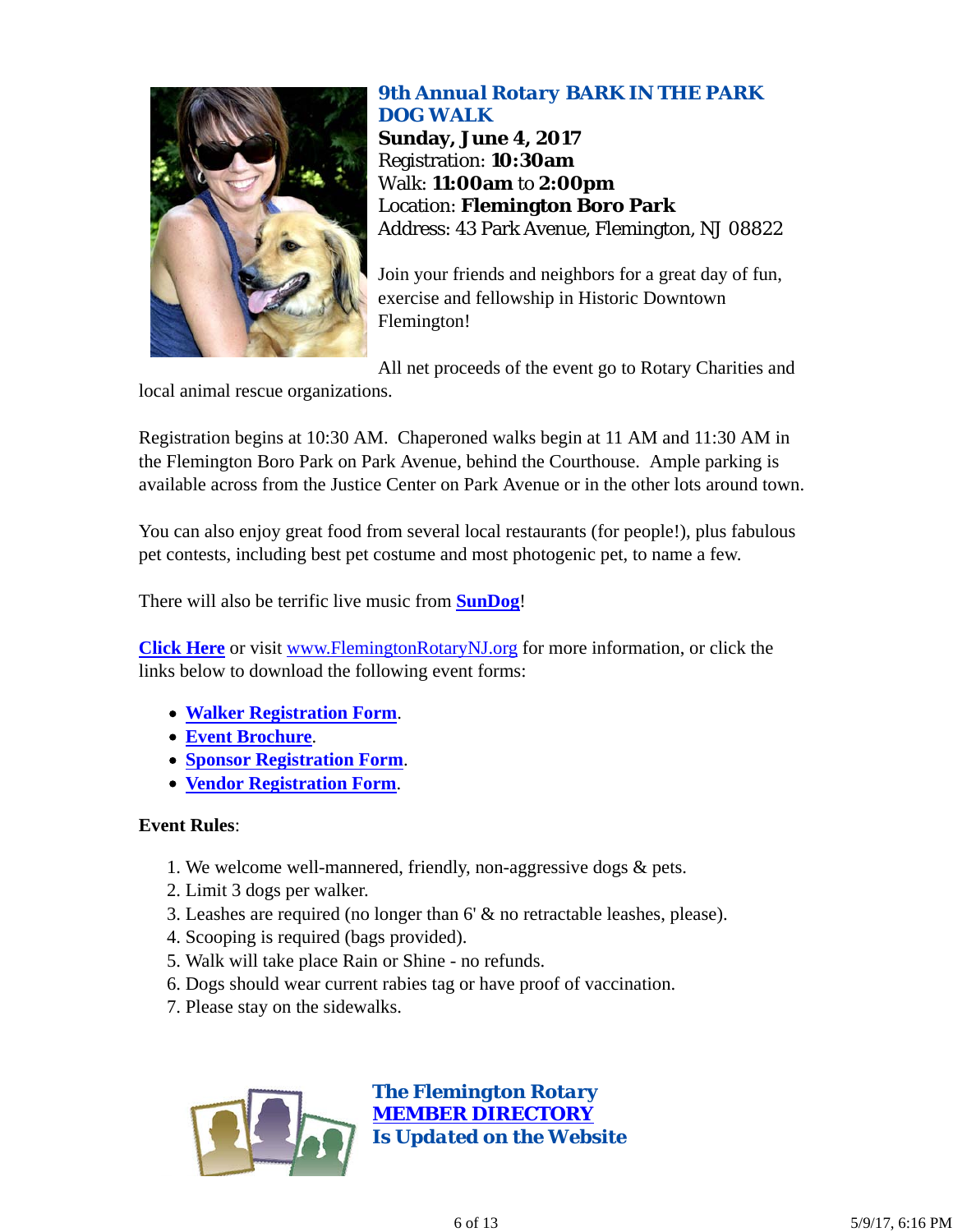

#### *9th Annual Rotary BARK IN THE PARK DOG WALK*

**Sunday, June 4, 2017** Registration: **10:30am** Walk: **11:00am** to **2:00pm** Location: **Flemington Boro Park** Address: 43 Park Avenue, Flemington, NJ 08822

Join your friends and neighbors for a great day of fun, exercise and fellowship in Historic Downtown Flemington!

All net proceeds of the event go to Rotary Charities and

local animal rescue organizations.

Registration begins at 10:30 AM. Chaperoned walks begin at 11 AM and 11:30 AM in the Flemington Boro Park on Park Avenue, behind the Courthouse. Ample parking is available across from the Justice Center on Park Avenue or in the other lots around town.

You can also enjoy great food from several local restaurants (for people!), plus fabulous pet contests, including best pet costume and most photogenic pet, to name a few.

There will also be terrific live music from **SunDog**!

**Click Here** or visit www.FlemingtonRotaryNJ.org for more information, or click the links below to download the following event forms:

- **Walker Registration Form**.
- **Event Brochure**.
- **Sponsor Registration Form**.
- **Vendor Registration Form**.

#### **Event Rules**:

- 1. We welcome well-mannered, friendly, non-aggressive dogs & pets.
- 2. Limit 3 dogs per walker.
- 3. Leashes are required (no longer than 6' & no retractable leashes, please).
- 4. Scooping is required (bags provided).
- 5. Walk will take place Rain or Shine no refunds.
- 6. Dogs should wear current rabies tag or have proof of vaccination.
- 7. Please stay on the sidewalks.

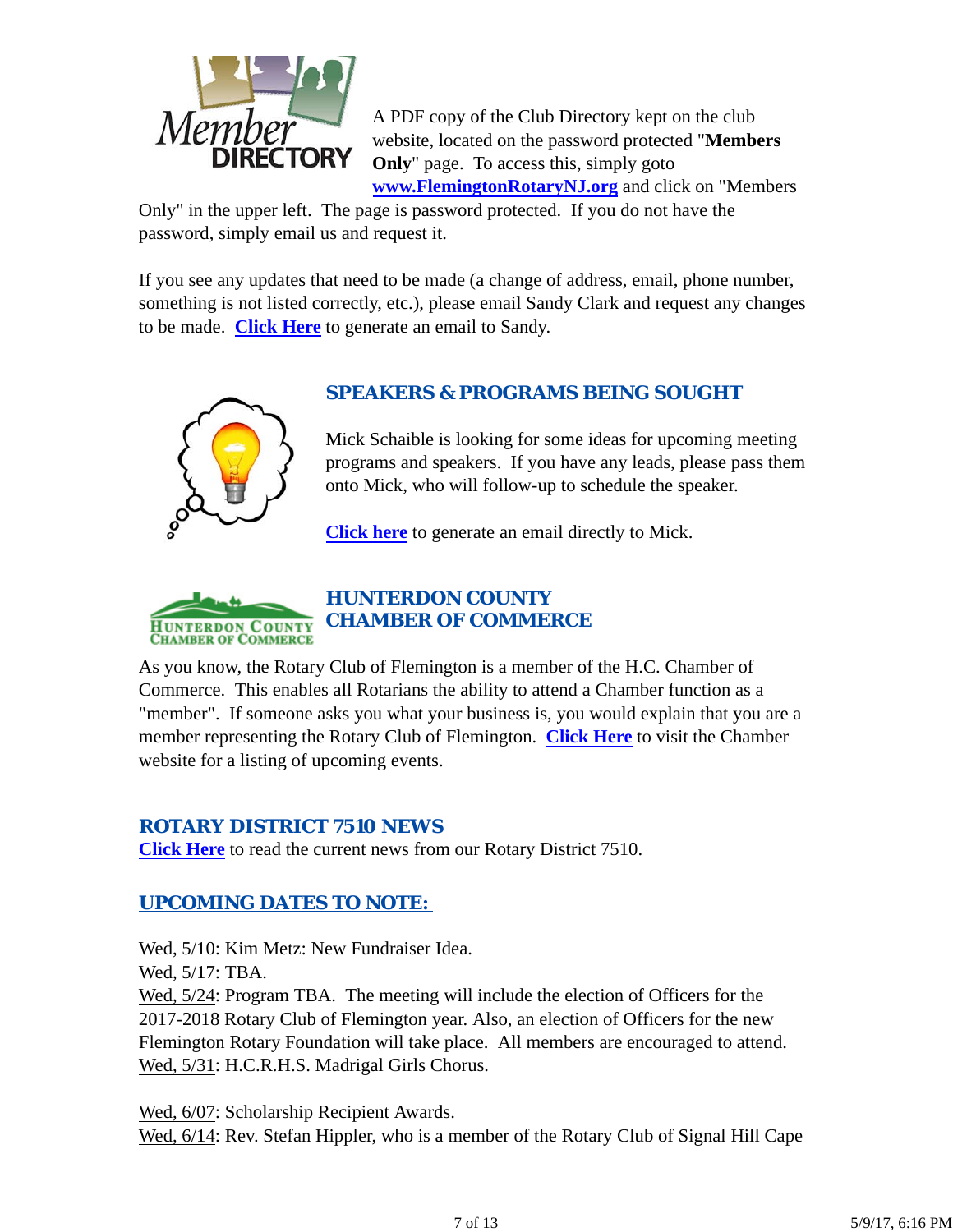

A PDF copy of the Club Directory kept on the club website, located on the password protected "**Members Only**" page. To access this, simply goto **www.FlemingtonRotaryNJ.org** and click on "Members

Only" in the upper left. The page is password protected. If you do not have the password, simply email us and request it.

If you see any updates that need to be made (a change of address, email, phone number, something is not listed correctly, etc.), please email Sandy Clark and request any changes to be made. **Click Here** to generate an email to Sandy.



## *SPEAKERS & PROGRAMS BEING SOUGHT*

Mick Schaible is looking for some ideas for upcoming meeting programs and speakers. If you have any leads, please pass them onto Mick, who will follow-up to schedule the speaker.

**Click here** to generate an email directly to Mick.



## *HUNTERDON COUNTY CHAMBER OF COMMERCE*

As you know, the Rotary Club of Flemington is a member of the H.C. Chamber of Commerce. This enables all Rotarians the ability to attend a Chamber function as a "member". If someone asks you what your business is, you would explain that you are a member representing the Rotary Club of Flemington. **Click Here** to visit the Chamber website for a listing of upcoming events.

## *ROTARY DISTRICT 7510 NEWS*

**Click Here** to read the current news from our Rotary District 7510.

## *UPCOMING DATES TO NOTE:*

Wed, 5/10: Kim Metz: New Fundraiser Idea.

Wed, 5/17: TBA.

Wed,  $5/24$ : Program TBA. The meeting will include the election of Officers for the 2017-2018 Rotary Club of Flemington year. Also, an election of Officers for the new Flemington Rotary Foundation will take place. All members are encouraged to attend. Wed, 5/31: H.C.R.H.S. Madrigal Girls Chorus.

Wed, 6/07: Scholarship Recipient Awards. Wed,  $6/14$ : Rev. Stefan Hippler, who is a member of the Rotary Club of Signal Hill Cape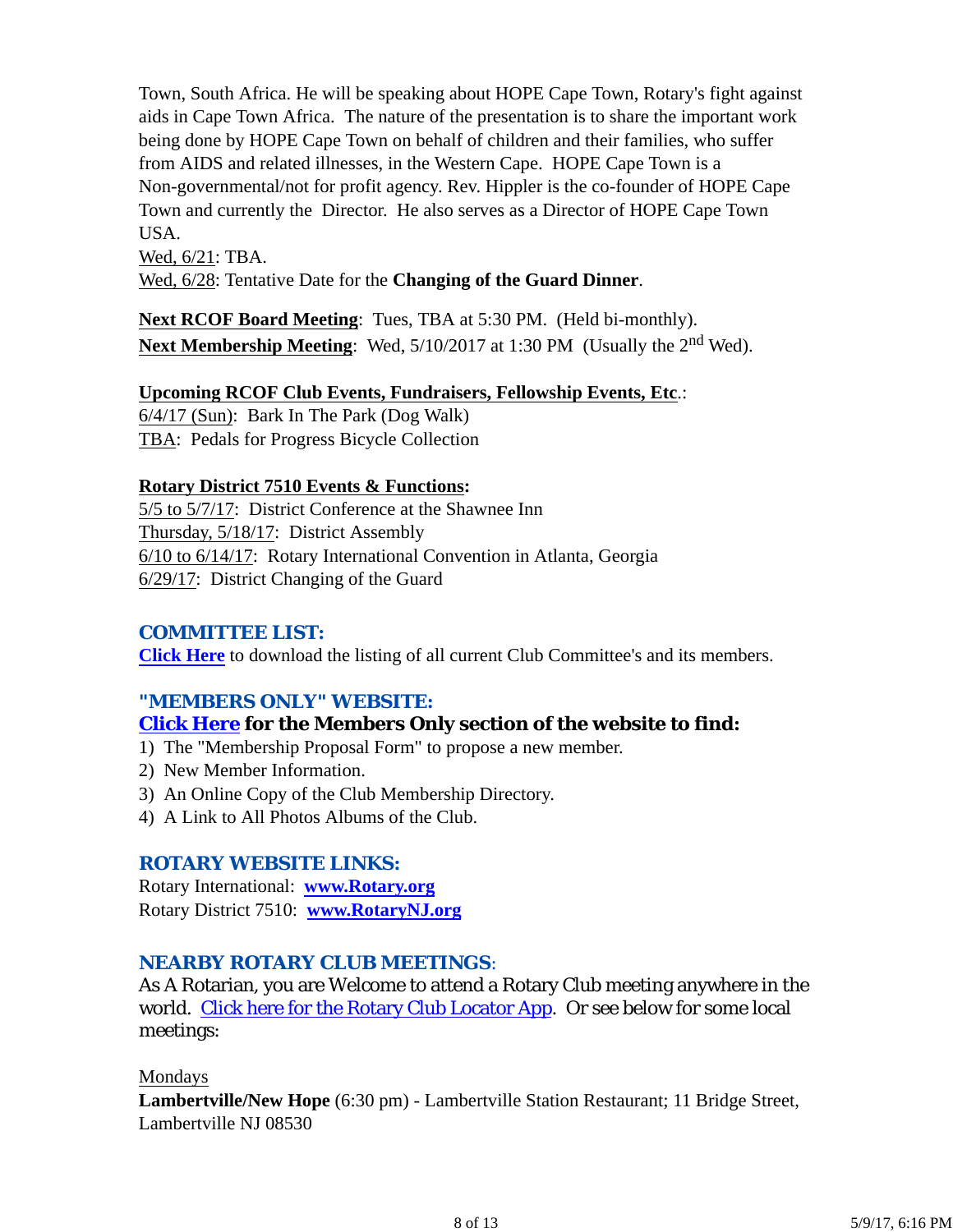Town, South Africa. He will be speaking about HOPE Cape Town, Rotary's fight against aids in Cape Town Africa. The nature of the presentation is to share the important work being done by HOPE Cape Town on behalf of children and their families, who suffer from AIDS and related illnesses, in the Western Cape. HOPE Cape Town is a Non-governmental/not for profit agency. Rev. Hippler is the co-founder of HOPE Cape Town and currently the Director. He also serves as a Director of HOPE Cape Town USA.

Wed, 6/21: TBA.

Wed, 6/28: Tentative Date for the **Changing of the Guard Dinner**.

**Next RCOF Board Meeting**: Tues, TBA at 5:30 PM. (Held bi-monthly). Next Membership Meeting: Wed, 5/10/2017 at 1:30 PM (Usually the 2<sup>nd</sup> Wed).

#### **Upcoming RCOF Club Events, Fundraisers, Fellowship Events, Etc**.:

6/4/17 (Sun): Bark In The Park (Dog Walk) TBA: Pedals for Progress Bicycle Collection

#### **Rotary District 7510 Events & Functions:**

5/5 to 5/7/17: District Conference at the Shawnee Inn Thursday, 5/18/17: District Assembly 6/10 to 6/14/17: Rotary International Convention in Atlanta, Georgia 6/29/17: District Changing of the Guard

#### *COMMITTEE LIST:*

**Click Here** to download the listing of all current Club Committee's and its members.

#### *"MEMBERS ONLY" WEBSITE:*

## **Click Here for the Members Only section of the website to find:**

- 1) The "Membership Proposal Form" to propose a new member.
- 2) New Member Information.
- 3) An Online Copy of the Club Membership Directory.
- 4) A Link to All Photos Albums of the Club.

#### *ROTARY WEBSITE LINKS:*

Rotary International: **www.Rotary.org** Rotary District 7510: **www.RotaryNJ.org**

#### *NEARBY ROTARY CLUB MEETINGS:*

As A Rotarian, you are Welcome to attend a Rotary Club meeting anywhere in the world. Click here for the Rotary Club Locator App. Or see below for some local meetings:

#### Mondays

**Lambertville/New Hope** (6:30 pm) - Lambertville Station Restaurant; 11 Bridge Street, Lambertville NJ 08530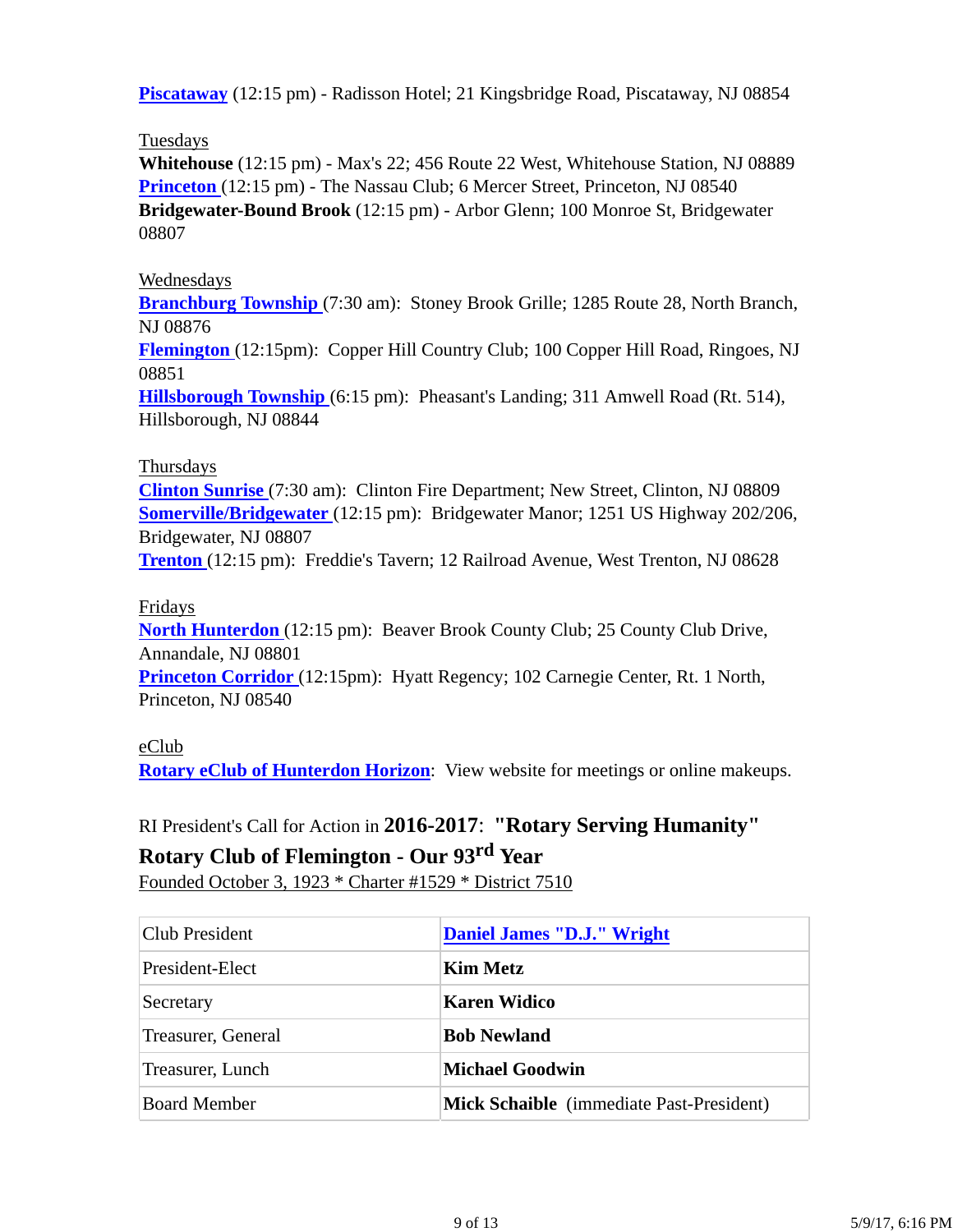**Piscataway** (12:15 pm) - Radisson Hotel; 21 Kingsbridge Road, Piscataway, NJ 08854

### Tuesdays

**Whitehouse** (12:15 pm) - Max's 22; 456 Route 22 West, Whitehouse Station, NJ 08889 **Princeton** (12:15 pm) - The Nassau Club; 6 Mercer Street, Princeton, NJ 08540 **Bridgewater-Bound Brook** (12:15 pm) - Arbor Glenn; 100 Monroe St, Bridgewater 08807

### Wednesdays

**Branchburg Township** (7:30 am): Stoney Brook Grille; 1285 Route 28, North Branch, NJ 08876

**Flemington** (12:15pm): Copper Hill Country Club; 100 Copper Hill Road, Ringoes, NJ 08851

**Hillsborough Township** (6:15 pm): Pheasant's Landing; 311 Amwell Road (Rt. 514), Hillsborough, NJ 08844

### Thursdays

**Clinton Sunrise** (7:30 am): Clinton Fire Department; New Street, Clinton, NJ 08809 **Somerville/Bridgewater** (12:15 pm): Bridgewater Manor; 1251 US Highway 202/206, Bridgewater, NJ 08807

**Trenton** (12:15 pm): Freddie's Tavern; 12 Railroad Avenue, West Trenton, NJ 08628

#### Fridays

**North Hunterdon** (12:15 pm): Beaver Brook County Club; 25 County Club Drive, Annandale, NJ 08801 **Princeton Corridor** (12:15pm): Hyatt Regency; 102 Carnegie Center, Rt. 1 North,

Princeton, NJ 08540

#### eClub

**Rotary eClub of Hunterdon Horizon**: View website for meetings or online makeups.

RI President's Call for Action in **2016-2017**: **"Rotary Serving Humanity"**

## **Rotary Club of Flemington - Our 93rd Year**

Founded October 3, 1923 \* Charter #1529 \* District 7510

| <b>Club President</b> | Daniel James "D.J." Wright               |  |
|-----------------------|------------------------------------------|--|
| President-Elect       | <b>Kim Metz</b>                          |  |
| Secretary             | <b>Karen Widico</b>                      |  |
| Treasurer, General    | <b>Bob Newland</b>                       |  |
| Treasurer, Lunch      | <b>Michael Goodwin</b>                   |  |
| <b>Board Member</b>   | Mick Schaible (immediate Past-President) |  |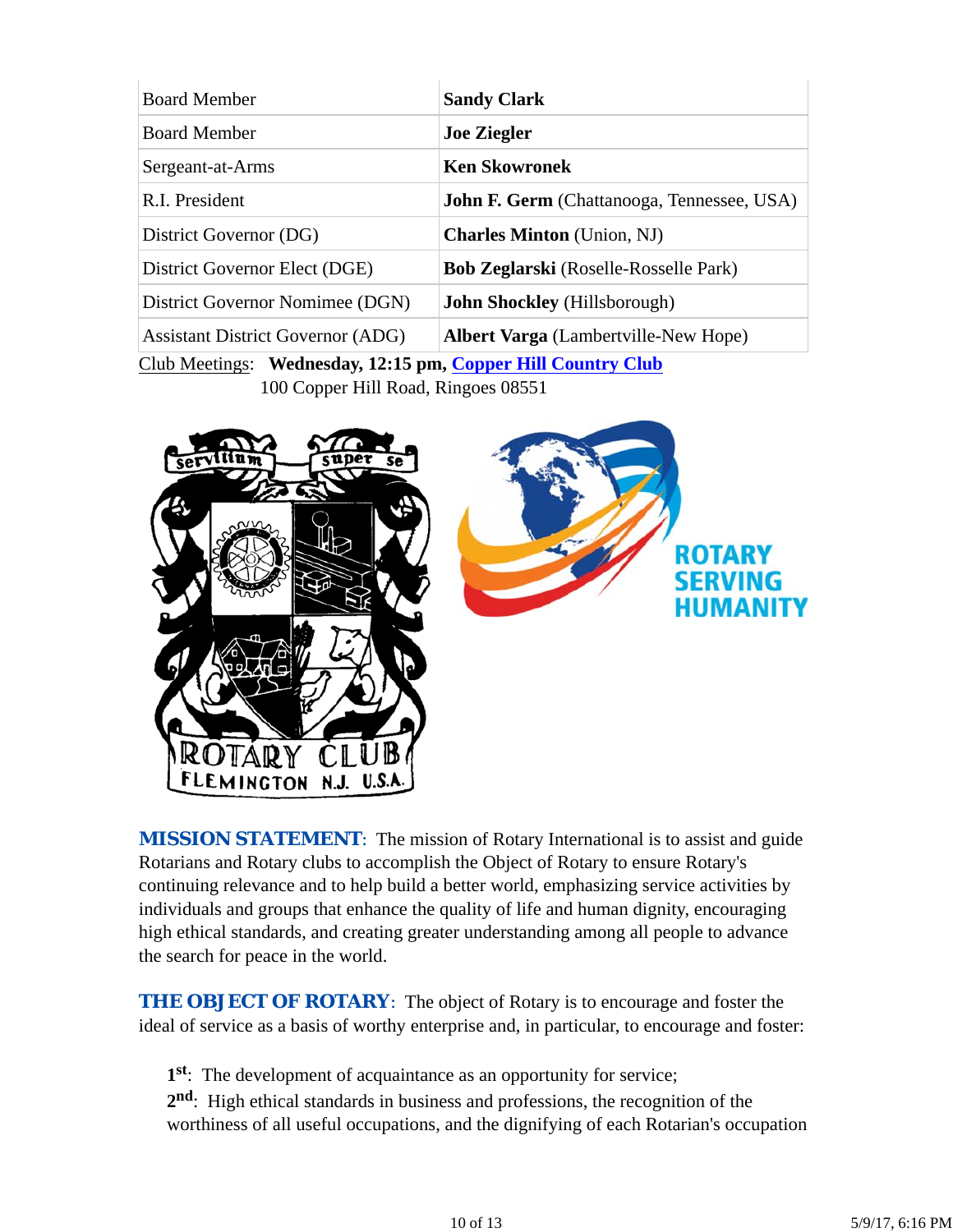| <b>Sandy Clark</b>                                |  |  |
|---------------------------------------------------|--|--|
| <b>Joe Ziegler</b>                                |  |  |
| <b>Ken Skowronek</b>                              |  |  |
| <b>John F. Germ</b> (Chattanooga, Tennessee, USA) |  |  |
| <b>Charles Minton</b> (Union, NJ)                 |  |  |
| <b>Bob Zeglarski</b> (Roselle-Rosselle Park)      |  |  |
| <b>John Shockley</b> (Hillsborough)               |  |  |
| <b>Albert Varga</b> (Lambertville-New Hope)       |  |  |
|                                                   |  |  |

Club Meetings: **Wednesday, 12:15 pm, Copper Hill Country Club** 100 Copper Hill Road, Ringoes 08551



**MISSION STATEMENT:** The mission of Rotary International is to assist and guide Rotarians and Rotary clubs to accomplish the Object of Rotary to ensure Rotary's continuing relevance and to help build a better world, emphasizing service activities by individuals and groups that enhance the quality of life and human dignity, encouraging high ethical standards, and creating greater understanding among all people to advance the search for peace in the world.

**THE OBJECT OF ROTARY:** The object of Rotary is to encourage and foster the ideal of service as a basis of worthy enterprise and, in particular, to encourage and foster:

**1st**: The development of acquaintance as an opportunity for service;

**2nd**: High ethical standards in business and professions, the recognition of the worthiness of all useful occupations, and the dignifying of each Rotarian's occupation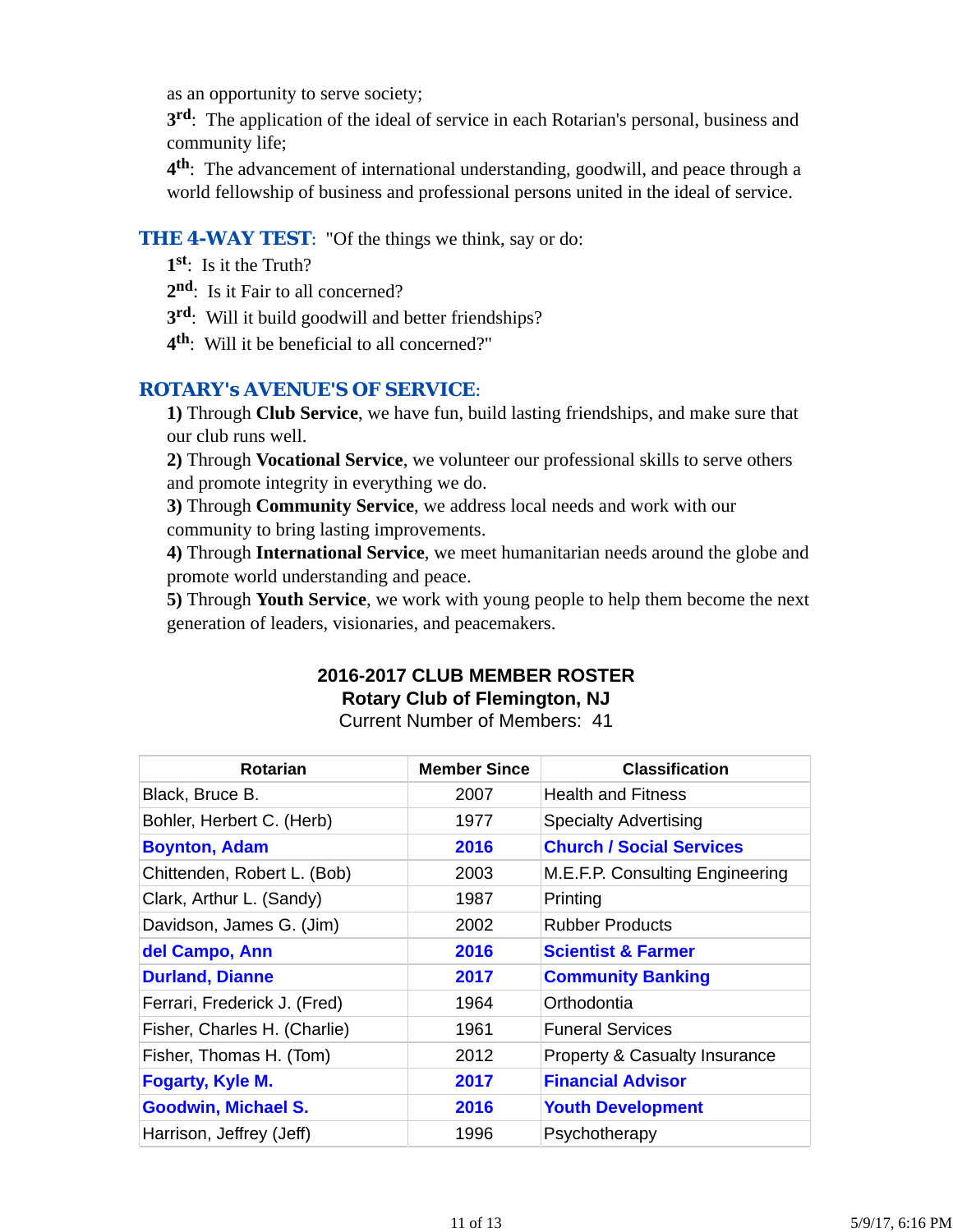as an opportunity to serve society;

**3rd**: The application of the ideal of service in each Rotarian's personal, business and community life;

**4th**: The advancement of international understanding, goodwill, and peace through a world fellowship of business and professional persons united in the ideal of service.

#### **THE 4-WAY TEST:** "Of the things we think, say or do:

- **1st**: Is it the Truth?
- 2<sup>nd</sup>: Is it Fair to all concerned?
- **3rd**: Will it build goodwill and better friendships?
- **4th**: Will it be beneficial to all concerned?"

#### *ROTARY's AVENUE'S OF SERVICE*:

**1)** Through **Club Service**, we have fun, build lasting friendships, and make sure that our club runs well.

**2)** Through **Vocational Service**, we volunteer our professional skills to serve others and promote integrity in everything we do.

**3)** Through **Community Service**, we address local needs and work with our community to bring lasting improvements.

**4)** Through **International Service**, we meet humanitarian needs around the globe and promote world understanding and peace.

**5)** Through **Youth Service**, we work with young people to help them become the next generation of leaders, visionaries, and peacemakers.

## **2016-2017 CLUB MEMBER ROSTER Rotary Club of Flemington, NJ**

Current Number of Members: 41

| <b>Rotarian</b>              | <b>Member Since</b> | <b>Classification</b>                    |
|------------------------------|---------------------|------------------------------------------|
| Black, Bruce B.              | 2007                | <b>Health and Fitness</b>                |
| Bohler, Herbert C. (Herb)    | 1977                | <b>Specialty Advertising</b>             |
| <b>Boynton, Adam</b>         | 2016                | <b>Church / Social Services</b>          |
| Chittenden, Robert L. (Bob)  | 2003                | M.E.F.P. Consulting Engineering          |
| Clark, Arthur L. (Sandy)     | 1987                | Printing                                 |
| Davidson, James G. (Jim)     | 2002                | <b>Rubber Products</b>                   |
| del Campo, Ann               | 2016                | <b>Scientist &amp; Farmer</b>            |
| <b>Durland, Dianne</b>       | 2017                | <b>Community Banking</b>                 |
| Ferrari, Frederick J. (Fred) | 1964                | Orthodontia                              |
| Fisher, Charles H. (Charlie) | 1961                | <b>Funeral Services</b>                  |
| Fisher, Thomas H. (Tom)      | 2012                | <b>Property &amp; Casualty Insurance</b> |
| Fogarty, Kyle M.             | 2017                | <b>Financial Advisor</b>                 |
| <b>Goodwin, Michael S.</b>   | 2016                | <b>Youth Development</b>                 |
| Harrison, Jeffrey (Jeff)     | 1996                | Psychotherapy                            |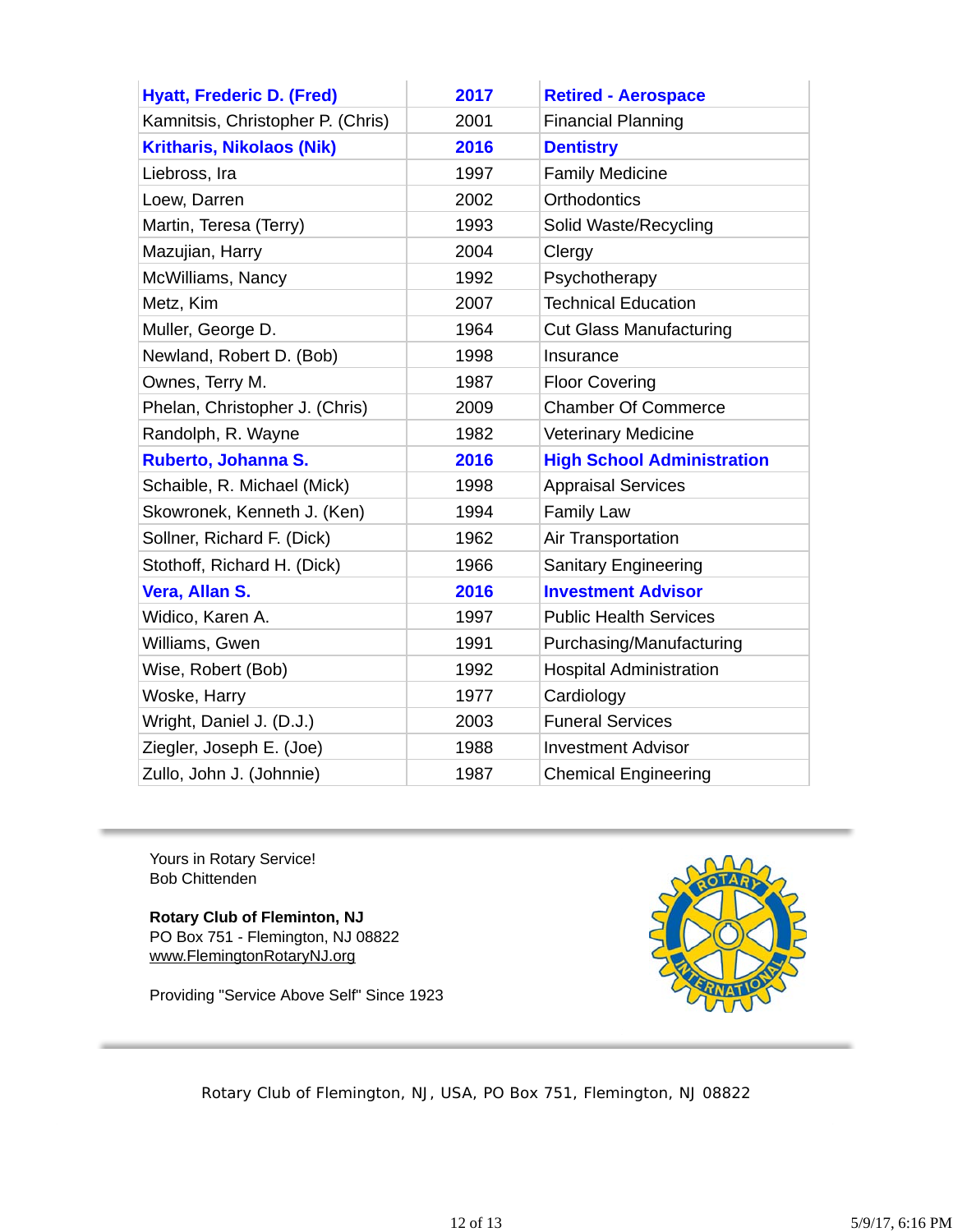| <b>Hyatt, Frederic D. (Fred)</b>  | 2017 | <b>Retired - Aerospace</b>        |
|-----------------------------------|------|-----------------------------------|
| Kamnitsis, Christopher P. (Chris) | 2001 | <b>Financial Planning</b>         |
| <b>Kritharis, Nikolaos (Nik)</b>  | 2016 | <b>Dentistry</b>                  |
| Liebross, Ira                     | 1997 | <b>Family Medicine</b>            |
| Loew, Darren                      | 2002 | <b>Orthodontics</b>               |
| Martin, Teresa (Terry)            | 1993 | Solid Waste/Recycling             |
| Mazujian, Harry                   | 2004 | Clergy                            |
| McWilliams, Nancy                 | 1992 | Psychotherapy                     |
| Metz, Kim                         | 2007 | <b>Technical Education</b>        |
| Muller, George D.                 | 1964 | <b>Cut Glass Manufacturing</b>    |
| Newland, Robert D. (Bob)          | 1998 | Insurance                         |
| Ownes, Terry M.                   | 1987 | <b>Floor Covering</b>             |
| Phelan, Christopher J. (Chris)    | 2009 | <b>Chamber Of Commerce</b>        |
| Randolph, R. Wayne                | 1982 | <b>Veterinary Medicine</b>        |
| Ruberto, Johanna S.               | 2016 | <b>High School Administration</b> |
| Schaible, R. Michael (Mick)       | 1998 | <b>Appraisal Services</b>         |
| Skowronek, Kenneth J. (Ken)       | 1994 | <b>Family Law</b>                 |
| Sollner, Richard F. (Dick)        | 1962 | Air Transportation                |
| Stothoff, Richard H. (Dick)       | 1966 | <b>Sanitary Engineering</b>       |
| Vera, Allan S.                    | 2016 | <b>Investment Advisor</b>         |
| Widico, Karen A.                  | 1997 | <b>Public Health Services</b>     |
| Williams, Gwen                    | 1991 | Purchasing/Manufacturing          |
| Wise, Robert (Bob)                | 1992 | <b>Hospital Administration</b>    |
| Woske, Harry                      | 1977 | Cardiology                        |
| Wright, Daniel J. (D.J.)          | 2003 | <b>Funeral Services</b>           |
| Ziegler, Joseph E. (Joe)          | 1988 | <b>Investment Advisor</b>         |
| Zullo, John J. (Johnnie)          | 1987 | <b>Chemical Engineering</b>       |

Yours in Rotary Service! Bob Chittenden

**Rotary Club of Fleminton, NJ** PO Box 751 - Flemington, NJ 08822 www.FlemingtonRotaryNJ.org

Providing "Service Above Self" Since 1923



Rotary Club of Flemington, NJ, USA, PO Box 751, Flemington, NJ 08822